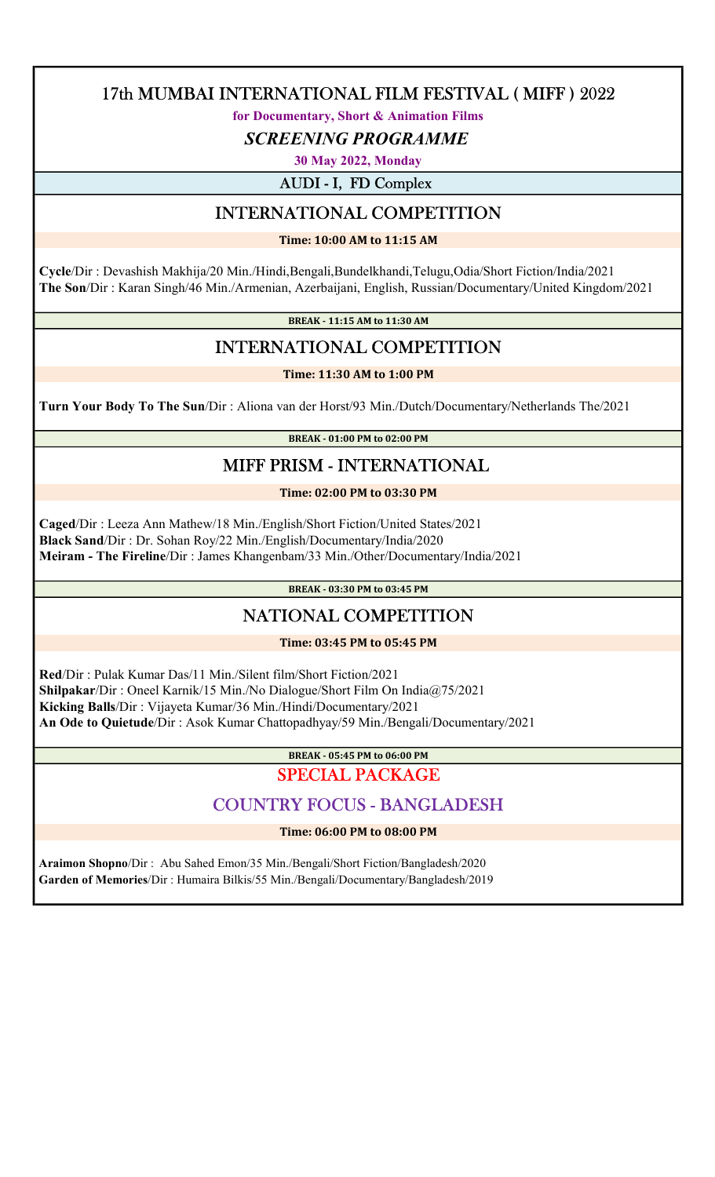for Documentary, Short & Animation Films

SCREENING PROGRAMME

30 May 2022, Monday

AUDI - I, FD Complex

# INTERNATIONAL COMPETITION

Time: 10:00 AM to 11:15 AM

 Cycle/Dir : Devashish Makhija/20 Min./Hindi,Bengali,Bundelkhandi,Telugu,Odia/Short Fiction/India/2021 The Son/Dir : Karan Singh/46 Min./Armenian, Azerbaijani, English, Russian/Documentary/United Kingdom/2021

BREAK - 11:15 AM to 11:30 AM

# INTERNATIONAL COMPETITION

Time: 11:30 AM to 1:00 PM

Turn Your Body To The Sun/Dir : Aliona van der Horst/93 Min./Dutch/Documentary/Netherlands The/2021

BREAK - 01:00 PM to 02:00 PM

# MIFF PRISM - INTERNATIONAL

Time: 02:00 PM to 03:30 PM

 Caged/Dir : Leeza Ann Mathew/18 Min./English/Short Fiction/United States/2021 Black Sand/Dir : Dr. Sohan Roy/22 Min./English/Documentary/India/2020 Meiram - The Fireline/Dir : James Khangenbam/33 Min./Other/Documentary/India/2021

BREAK - 03:30 PM to 03:45 PM

# NATIONAL COMPETITION

Time: 03:45 PM to 05:45 PM

 Red/Dir : Pulak Kumar Das/11 Min./Silent film/Short Fiction/2021 Shilpakar/Dir : Oneel Karnik/15 Min./No Dialogue/Short Film On India@75/2021 Kicking Balls/Dir : Vijayeta Kumar/36 Min./Hindi/Documentary/2021 An Ode to Quietude/Dir : Asok Kumar Chattopadhyay/59 Min./Bengali/Documentary/2021

BREAK - 05:45 PM to 06:00 PM

## SPECIAL PACKAGE

## COUNTRY FOCUS - BANGLADESH

Time: 06:00 PM to 08:00 PM

 Araimon Shopno/Dir : Abu Sahed Emon/35 Min./Bengali/Short Fiction/Bangladesh/2020 Garden of Memories/Dir : Humaira Bilkis/55 Min./Bengali/Documentary/Bangladesh/2019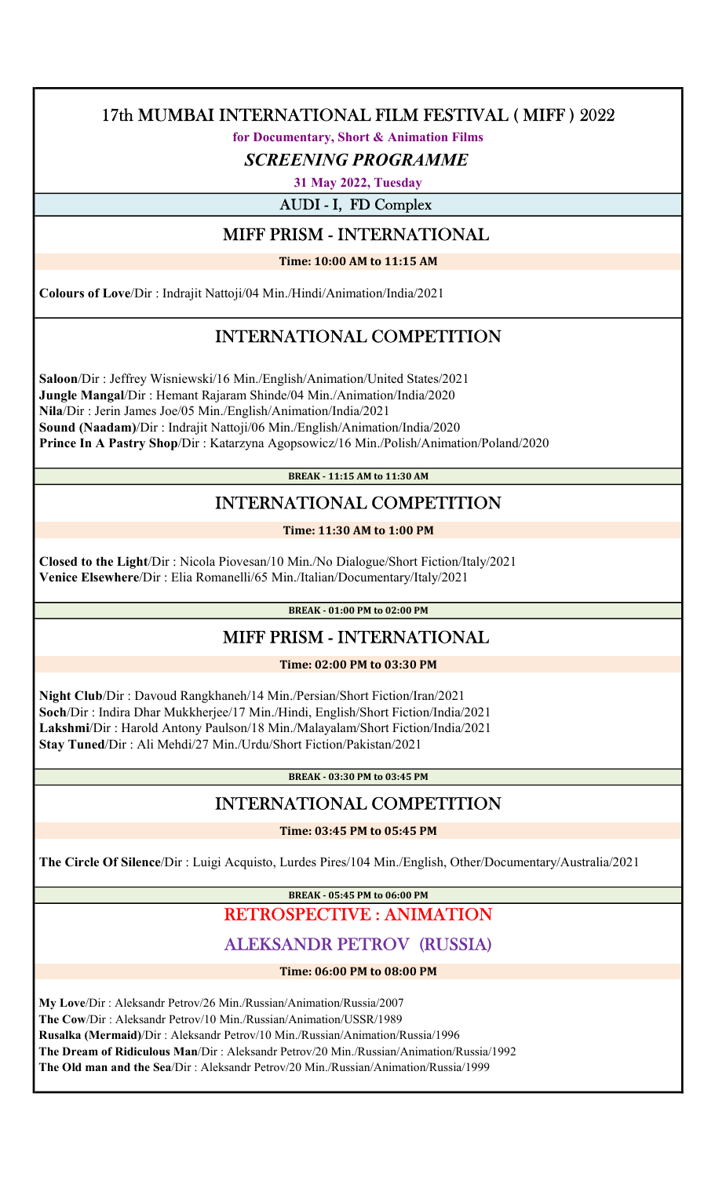for Documentary, Short & Animation Films

#### SCREENING PROGRAMME

31 May 2022, Tuesday

AUDI - I, FD Complex

#### MIFF PRISM - INTERNATIONAL

Time: 10:00 AM to 11:15 AM

Colours of Love/Dir : Indrajit Nattoji/04 Min./Hindi/Animation/India/2021

# INTERNATIONAL COMPETITION

 Saloon/Dir : Jeffrey Wisniewski/16 Min./English/Animation/United States/2021 Jungle Mangal/Dir : Hemant Rajaram Shinde/04 Min./Animation/India/2020 Nila/Dir : Jerin James Joe/05 Min./English/Animation/India/2021 Sound (Naadam)/Dir : Indrajit Nattoji/06 Min./English/Animation/India/2020 Prince In A Pastry Shop/Dir : Katarzyna Agopsowicz/16 Min./Polish/Animation/Poland/2020

BREAK - 11:15 AM to 11:30 AM

# INTERNATIONAL COMPETITION

#### Time: 11:30 AM to 1:00 PM

 Closed to the Light/Dir : Nicola Piovesan/10 Min./No Dialogue/Short Fiction/Italy/2021 Venice Elsewhere/Dir : Elia Romanelli/65 Min./Italian/Documentary/Italy/2021

BREAK - 01:00 PM to 02:00 PM

# MIFF PRISM - INTERNATIONAL

Time: 02:00 PM to 03:30 PM

 Night Club/Dir : Davoud Rangkhaneh/14 Min./Persian/Short Fiction/Iran/2021 Soch/Dir : Indira Dhar Mukkherjee/17 Min./Hindi, English/Short Fiction/India/2021 Lakshmi/Dir : Harold Antony Paulson/18 Min./Malayalam/Short Fiction/India/2021 Stay Tuned/Dir : Ali Mehdi/27 Min./Urdu/Short Fiction/Pakistan/2021

BREAK - 03:30 PM to 03:45 PM

# INTERNATIONAL COMPETITION

Time: 03:45 PM to 05:45 PM

The Circle Of Silence/Dir : Luigi Acquisto, Lurdes Pires/104 Min./English, Other/Documentary/Australia/2021

BREAK - 05:45 PM to 06:00 PM

# RETROSPECTIVE : ANIMATION

# ALEKSANDR PETROV (RUSSIA)

Time: 06:00 PM to 08:00 PM

My Love/Dir : Aleksandr Petrov/26 Min./Russian/Animation/Russia/2007

The Cow/Dir : Aleksandr Petrov/10 Min./Russian/Animation/USSR/1989

Rusalka (Mermaid)/Dir : Aleksandr Petrov/10 Min./Russian/Animation/Russia/1996

The Dream of Ridiculous Man/Dir : Aleksandr Petrov/20 Min./Russian/Animation/Russia/1992

The Old man and the Sea/Dir : Aleksandr Petrov/20 Min./Russian/Animation/Russia/1999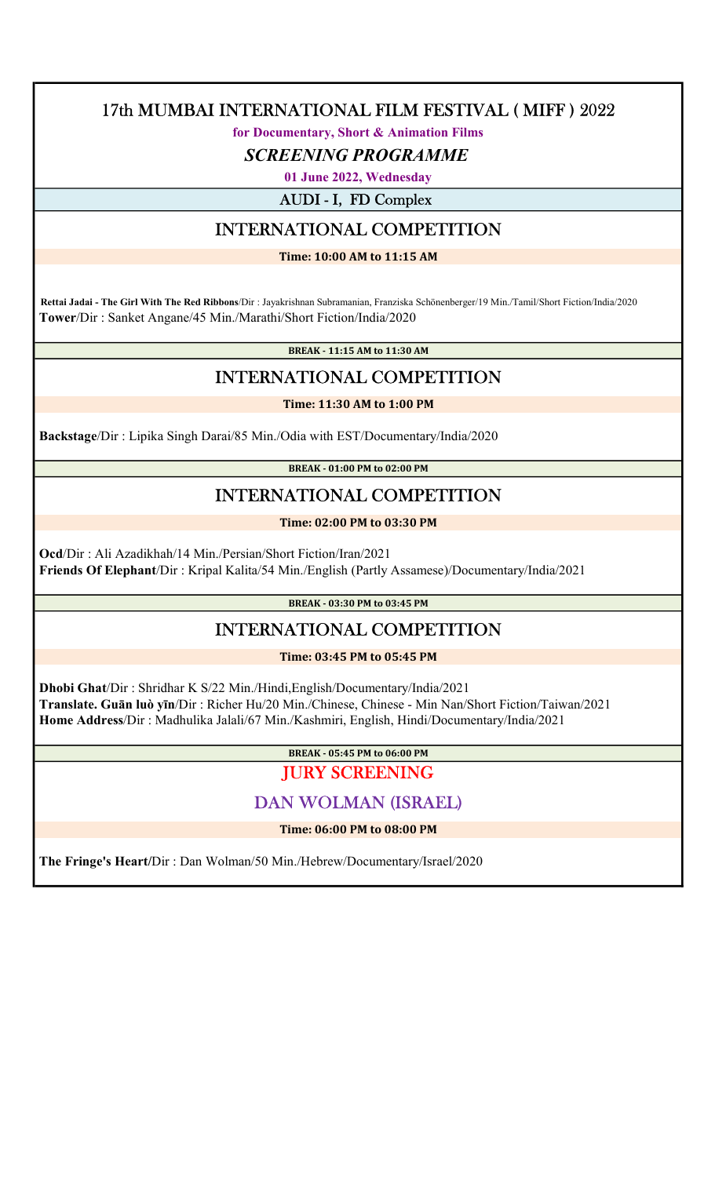for Documentary, Short & Animation Films

#### SCREENING PROGRAMME

01 June 2022, Wednesday

AUDI - I, FD Complex

# INTERNATIONAL COMPETITION

Time: 10:00 AM to 11:15 AM

 Rettai Jadai - The Girl With The Red Ribbons/Dir : Jayakrishnan Subramanian, Franziska Schönenberger/19 Min./Tamil/Short Fiction/India/2020 Tower/Dir : Sanket Angane/45 Min./Marathi/Short Fiction/India/2020

BREAK - 11:15 AM to 11:30 AM

# INTERNATIONAL COMPETITION

Time: 11:30 AM to 1:00 PM

Backstage/Dir : Lipika Singh Darai/85 Min./Odia with EST/Documentary/India/2020

BREAK - 01:00 PM to 02:00 PM

## INTERNATIONAL COMPETITION

Time: 02:00 PM to 03:30 PM

 Ocd/Dir : Ali Azadikhah/14 Min./Persian/Short Fiction/Iran/2021 Friends Of Elephant/Dir : Kripal Kalita/54 Min./English (Partly Assamese)/Documentary/India/2021

BREAK - 03:30 PM to 03:45 PM

# INTERNATIONAL COMPETITION

Time: 03:45 PM to 05:45 PM

 Dhobi Ghat/Dir : Shridhar K S/22 Min./Hindi,English/Documentary/India/2021 Translate. Guān luò yīn/Dir : Richer Hu/20 Min./Chinese, Chinese - Min Nan/Short Fiction/Taiwan/2021 Home Address/Dir : Madhulika Jalali/67 Min./Kashmiri, English, Hindi/Documentary/India/2021

BREAK - 05:45 PM to 06:00 PM

JURY SCREENING

# DAN WOLMAN (ISRAEL)

Time: 06:00 PM to 08:00 PM

The Fringe's Heart/Dir : Dan Wolman/50 Min./Hebrew/Documentary/Israel/2020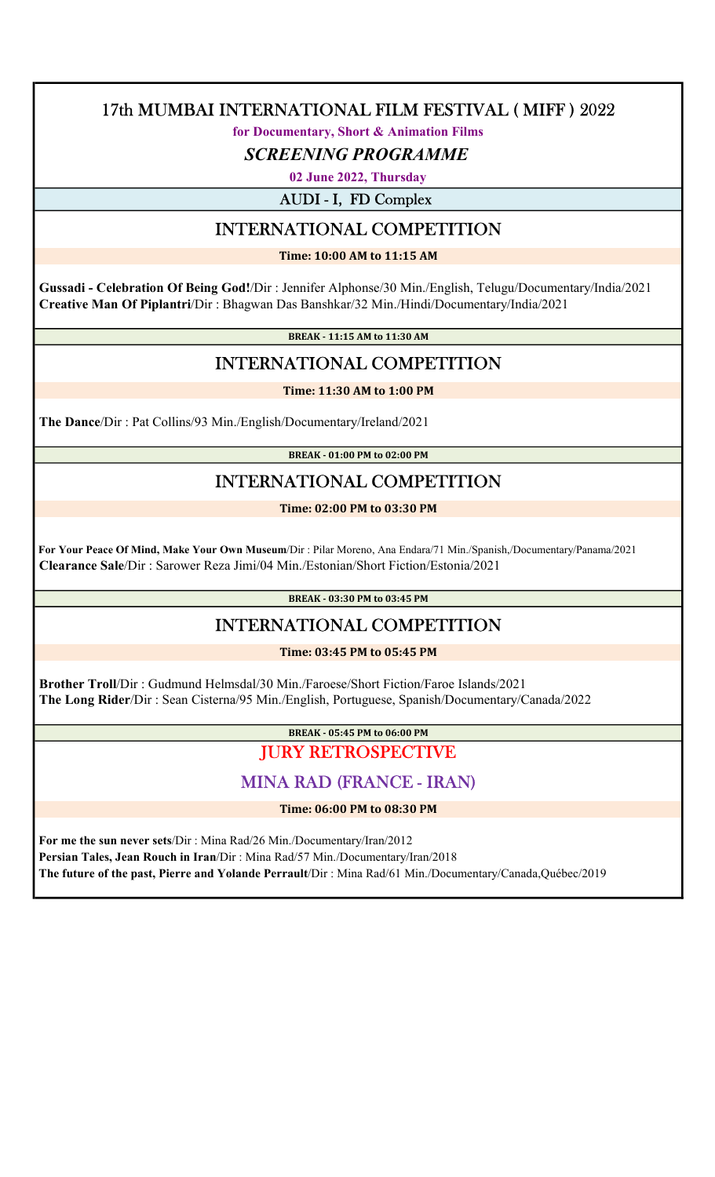for Documentary, Short & Animation Films

#### SCREENING PROGRAMME

02 June 2022, Thursday

AUDI - I, FD Complex

# INTERNATIONAL COMPETITION

Time: 10:00 AM to 11:15 AM

 Gussadi - Celebration Of Being God!/Dir : Jennifer Alphonse/30 Min./English, Telugu/Documentary/India/2021 Creative Man Of Piplantri/Dir : Bhagwan Das Banshkar/32 Min./Hindi/Documentary/India/2021

BREAK - 11:15 AM to 11:30 AM

#### INTERNATIONAL COMPETITION

#### Time: 11:30 AM to 1:00 PM

The Dance/Dir : Pat Collins/93 Min./English/Documentary/Ireland/2021

BREAK - 01:00 PM to 02:00 PM

# INTERNATIONAL COMPETITION

Time: 02:00 PM to 03:30 PM

 For Your Peace Of Mind, Make Your Own Museum/Dir : Pilar Moreno, Ana Endara/71 Min./Spanish,/Documentary/Panama/2021 Clearance Sale/Dir : Sarower Reza Jimi/04 Min./Estonian/Short Fiction/Estonia/2021

BREAK - 03:30 PM to 03:45 PM

## INTERNATIONAL COMPETITION

Time: 03:45 PM to 05:45 PM

 Brother Troll/Dir : Gudmund Helmsdal/30 Min./Faroese/Short Fiction/Faroe Islands/2021 The Long Rider/Dir : Sean Cisterna/95 Min./English, Portuguese, Spanish/Documentary/Canada/2022

#### BREAK - 05:45 PM to 06:00 PM JURY RETROSPECTIVE

#### MINA RAD (FRANCE - IRAN)

Time: 06:00 PM to 08:30 PM

 For me the sun never sets/Dir : Mina Rad/26 Min./Documentary/Iran/2012 Persian Tales, Jean Rouch in Iran/Dir : Mina Rad/57 Min./Documentary/Iran/2018 The future of the past, Pierre and Yolande Perrault/Dir : Mina Rad/61 Min./Documentary/Canada,Québec/2019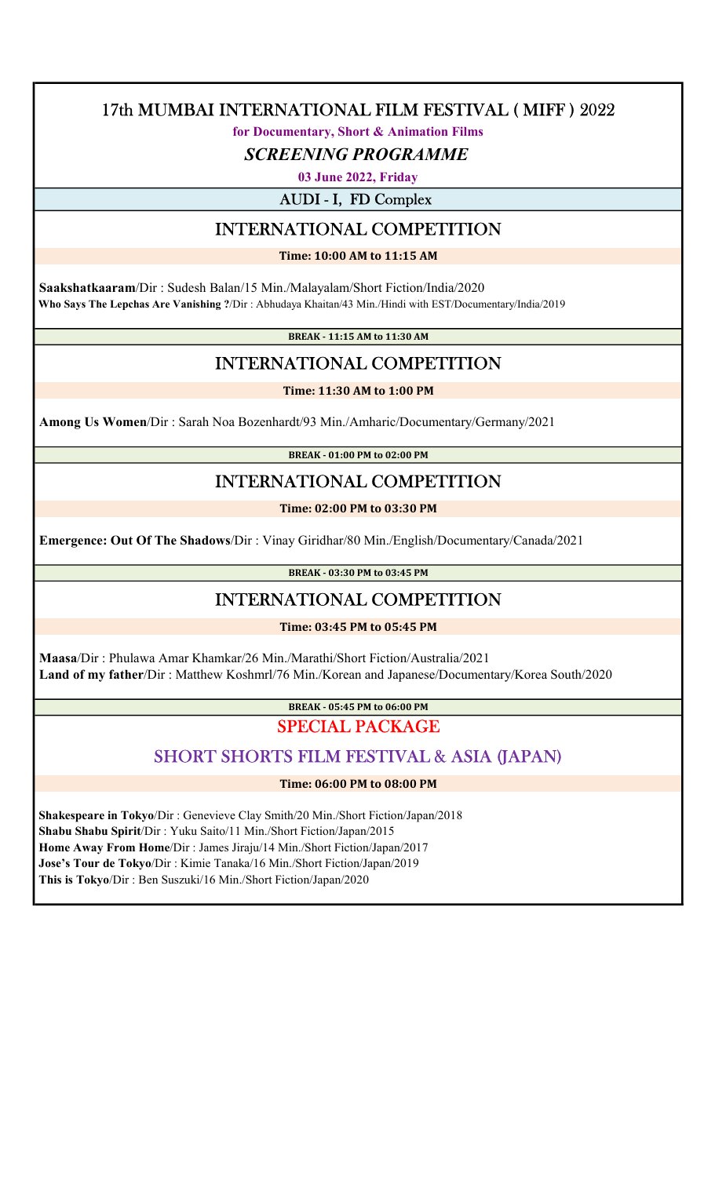for Documentary, Short & Animation Films

#### SCREENING PROGRAMME

03 June 2022, Friday

AUDI - I, FD Complex

# INTERNATIONAL COMPETITION

Time: 10:00 AM to 11:15 AM

 Saakshatkaaram/Dir : Sudesh Balan/15 Min./Malayalam/Short Fiction/India/2020 Who Says The Lepchas Are Vanishing ?/Dir : Abhudaya Khaitan/43 Min./Hindi with EST/Documentary/India/2019

BREAK - 11:15 AM to 11:30 AM

# INTERNATIONAL COMPETITION

Time: 11:30 AM to 1:00 PM

Among Us Women/Dir : Sarah Noa Bozenhardt/93 Min./Amharic/Documentary/Germany/2021

BREAK - 01:00 PM to 02:00 PM

# INTERNATIONAL COMPETITION

Time: 02:00 PM to 03:30 PM

Emergence: Out Of The Shadows/Dir : Vinay Giridhar/80 Min./English/Documentary/Canada/2021

BREAK - 03:30 PM to 03:45 PM

## INTERNATIONAL COMPETITION

Time: 03:45 PM to 05:45 PM

 Maasa/Dir : Phulawa Amar Khamkar/26 Min./Marathi/Short Fiction/Australia/2021 Land of my father/Dir : Matthew Koshmrl/76 Min./Korean and Japanese/Documentary/Korea South/2020

> BREAK - 05:45 PM to 06:00 PM SPECIAL PACKAGE

# SHORT SHORTS FILM FESTIVAL & ASIA (JAPAN)

Time: 06:00 PM to 08:00 PM

 Shakespeare in Tokyo/Dir : Genevieve Clay Smith/20 Min./Short Fiction/Japan/2018 Shabu Shabu Spirit/Dir : Yuku Saito/11 Min./Short Fiction/Japan/2015 Home Away From Home/Dir : James Jiraju/14 Min./Short Fiction/Japan/2017 Jose's Tour de Tokyo/Dir : Kimie Tanaka/16 Min./Short Fiction/Japan/2019 This is Tokyo/Dir : Ben Suszuki/16 Min./Short Fiction/Japan/2020